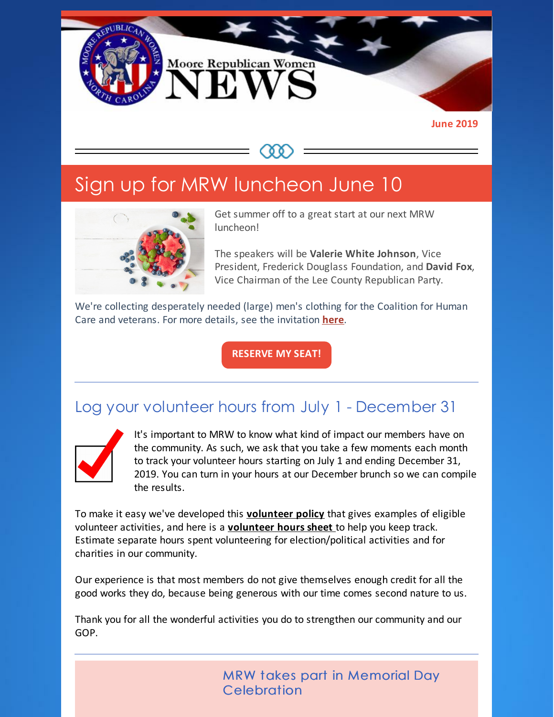

#### **June 2019**

# Sign up for MRW luncheon June 10



Get summer off to a great start at our next MRW luncheon!

The speakers will be **Valerie White Johnson**, Vice President, Frederick Douglass Foundation, and **David Fox**, Vice Chairman of the Lee County Republican Party.

We're collecting desperately needed (large) men's clothing for the Coalition for Human Care and veterans. For more details, see the invitation **[here](https://files.constantcontact.com/30571cb6701/10b24872-03d3-4f40-9924-8b63308f6e94.pdf)**.

**[RESERVE](https://www.mrwnc.com/luncheon-reservation.html) MY SEAT!**

#### Log your volunteer hours from July 1 - December 31



It's important to MRW to know what kind of impact our members have on the community. As such, we ask that you take a few moments each month to track your volunteer hours starting on July 1 and ending December 31, 2019. You can turn in your hours at our December brunch so we can compile the results.

To make it easy we've developed this **[volunteer](https://files.constantcontact.com/30571cb6701/4d57730e-6cdc-4ed5-bf66-28385920857c.pdf) policy** that gives examples of eligible volunteer activities, and here is a **[volunteer](https://files.constantcontact.com/30571cb6701/deccbbff-d77d-41a0-a1ac-f1e047420854.pdf) hours sheet** to help you keep track. Estimate separate hours spent volunteering for election/political activities and for charities in our community.

Our experience is that most members do not give themselves enough credit for all the good works they do, because being generous with our time comes second nature to us.

Thank you for all the wonderful activities you do to strengthen our community and our GOP.

> MRW takes part in Memorial Day **Celebration**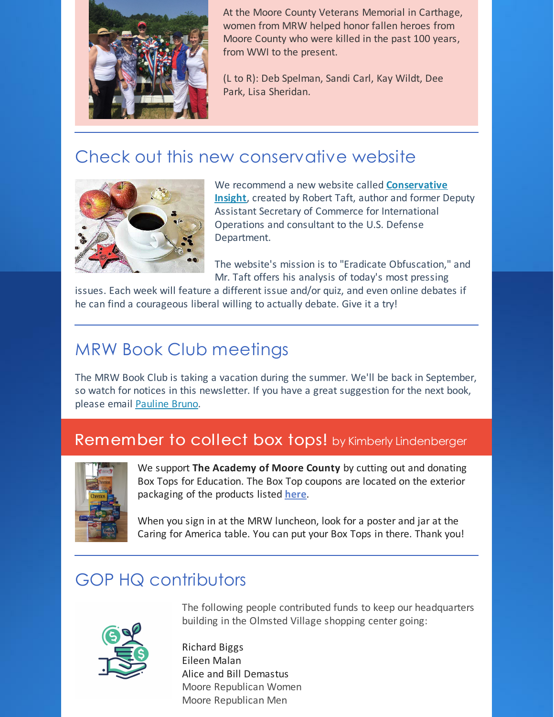

At the Moore County Veterans Memorial in Carthage, women from MRW helped honor fallen heroes from Moore County who were killed in the past 100 years, from WWI to the present.

(L to R): Deb Spelman, Sandi Carl, Kay Wildt, Dee Park, Lisa Sheridan.

### Check out this new conservative website



We recommend a new website called **[Conservative](https://conservativeinsight.net) Insight**, created by Robert Taft, author and former Deputy Assistant Secretary of Commerce for International Operations and consultant to the U.S. Defense Department.

The website's mission is to "Eradicate Obfuscation," and Mr. Taft offers his analysis of today's most pressing

issues. Each week will feature a different issue and/or quiz, and even online debates if he can find a courageous liberal willing to actually debate. Give it a try!

## MRW Book Club meetings

The MRW Book Club is taking a vacation during the summer. We'll be back in September, so watch for notices in this newsletter. If you have a great suggestion for the next book, please email [Pauline](mailto:pbruno46@gmail.com) Bruno.

#### Remember to collect box tops! by Kimberly Lindenberger



We support **The Academy of Moore County** by cutting out and donating Box Tops for Education. The Box Top coupons are located on the exterior packaging of the products listed **[here](https://files.constantcontact.com/30571cb6701/df41b08e-5be3-4a62-982f-66e5a88069f3.pdf)**.

When you sign in at the MRW luncheon, look for a poster and jar at the Caring for America table. You can put your Box Tops in there. Thank you!

### GOP HQ contributors



The following people contributed funds to keep our headquarters building in the Olmsted Village shopping center going:

Richard Biggs Eileen Malan Alice and Bill Demastus Moore Republican Women Moore Republican Men